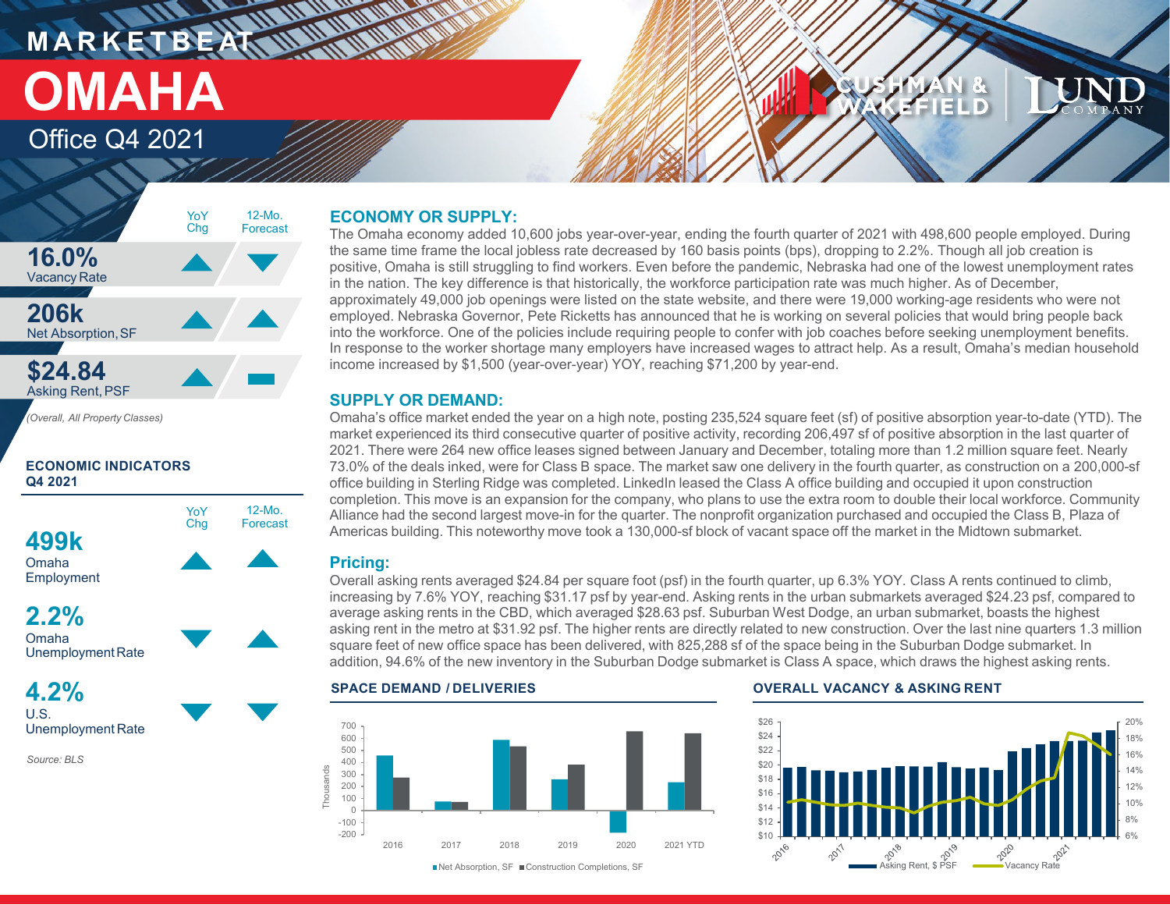## **MARKETBEATTING MORTLE** Office Q4 2021 **OMAHA**

# FFIELD



### **ECONOMIC INDICATORS Q4 2021**





**4.2%** U.S. Unemployment Rate

*Source: BLS*

### **ECONOMY OR SUPPLY:**

The Omaha economy added 10,600 jobs year-over-year, ending the fourth quarter of 2021 with 498,600 people employed. During the same time frame the local jobless rate decreased by 160 basis points (bps), dropping to 2.2%. Though all job creation is positive, Omaha is still struggling to find workers. Even before the pandemic, Nebraska had one of the lowest unemployment rates in the nation. The key difference is that historically, the workforce participation rate was much higher. As of December, approximately 49,000 job openings were listed on the state website, and there were 19,000 working-age residents who were not employed. Nebraska Governor, Pete Ricketts has announced that he is working on several policies that would bring people back into the workforce. One of the policies include requiring people to confer with job coaches before seeking unemployment benefits. In response to the worker shortage many employers have increased wages to attract help. As a result, Omaha's median household income increased by \$1,500 (year-over-year) YOY, reaching \$71,200 by year-end.

### **SUPPLY OR DEMAND:**

Omaha's office market ended the year on a high note, posting 235,524 square feet (sf) of positive absorption year-to-date (YTD). The market experienced its third consecutive quarter of positive activity, recording 206,497 sf of positive absorption in the last quarter of 2021. There were 264 new office leases signed between January and December, totaling more than 1.2 million square feet. Nearly 73.0% of the deals inked, were for Class B space. The market saw one delivery in the fourth quarter, as construction on a 200,000-sf office building in Sterling Ridge was completed. LinkedIn leased the Class A office building and occupied it upon construction completion. This move is an expansion for the company, who plans to use the extra room to double their local workforce. Community Alliance had the second largest move-in for the quarter. The nonprofit organization purchased and occupied the Class B, Plaza of Americas building. This noteworthy move took a 130,000-sf block of vacant space off the market in the Midtown submarket.

### **Pricing:**

Overall asking rents averaged \$24.84 per square foot (psf) in the fourth quarter, up 6.3% YOY. Class A rents continued to climb, increasing by 7.6% YOY, reaching \$31.17 psf by year-end. Asking rents in the urban submarkets averaged \$24.23 psf, compared to average asking rents in the CBD, which averaged \$28.63 psf. Suburban West Dodge, an urban submarket, boasts the highest asking rent in the metro at \$31.92 psf. The higher rents are directly related to new construction. Over the last nine quarters 1.3 million square feet of new office space has been delivered, with 825,288 sf of the space being in the Suburban Dodge submarket. In addition, 94.6% of the new inventory in the Suburban Dodge submarket is Class A space, which draws the highest asking rents.







#### ■Net Absorption, SF ■ Construction Completions, SF